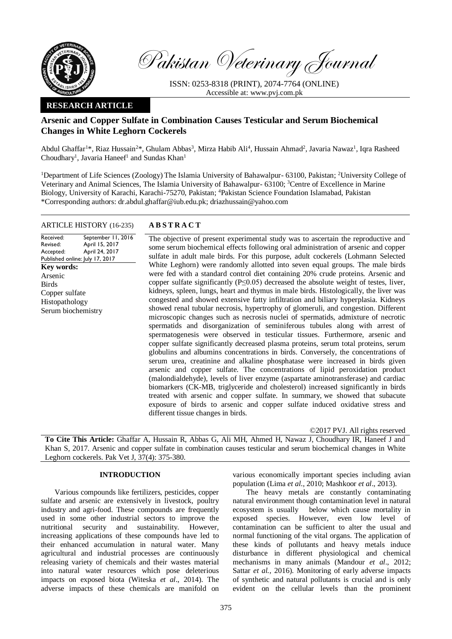

Pakistan Veterinary Journal

ISSN: 0253-8318 (PRINT), 2074-7764 (ONLINE) Accessible at: [www.pvj.com.pk](http://www.pvj.com.pk/)

# **RESEARCH ARTICLE**

# **Arsenic and Copper Sulfate in Combination Causes Testicular and Serum Biochemical Changes in White Leghorn Cockerels**

Abdul Ghaffar<sup>1\*</sup>, Riaz Hussain<sup>2\*</sup>, Ghulam Abbas<sup>3</sup>, Mirza Habib Ali<sup>4</sup>, Hussain Ahmad<sup>2</sup>, Javaria Nawaz<sup>1</sup>, Iqra Rasheed Choudhary<sup>1</sup>, Javaria Haneef<sup>1</sup> and Sundas Khan<sup>1</sup>

<sup>1</sup>Department of Life Sciences (Zoology) The Islamia University of Bahawalpur- 63100, Pakistan; <sup>2</sup>University College of Veterinary and Animal Sciences, The Islamia University of Bahawalpur- 63100; <sup>3</sup>Centre of Excellence in Marine Biology, University of Karachi, Karachi-75270, Pakistan; <sup>4</sup>Pakistan Science Foundation Islamabad, Pakistan \*Corresponding authors: dr.abdul.ghaffar@iub.edu.pk; driazhussain@yahoo.com

## ARTICLE HISTORY (16-235) **A B S T R A C T**

Received: Revised: Accepted: Published online: July 17, 2017 September 11, 2016 April 15, 2017 April 24, 2017 **Key words:**  Arsenic Birds Copper sulfate Histopathology Serum biochemistry

The objective of present experimental study was to ascertain the reproductive and some serum biochemical effects following oral administration of arsenic and copper sulfate in adult male birds. For this purpose, adult cockerels (Lohmann Selected White Leghorn) were randomly allotted into seven equal groups. The male birds were fed with a standard control diet containing 20% crude proteins. Arsenic and copper sulfate significantly  $(P \le 0.05)$  decreased the absolute weight of testes, liver, kidneys, spleen, lungs, heart and thymus in male birds. Histologically, the liver was congested and showed extensive fatty infiltration and biliary hyperplasia. Kidneys showed renal tubular necrosis, hypertrophy of glomeruli, and congestion. Different microscopic changes such as necrosis nuclei of spermatids, admixture of necrotic spermatids and disorganization of seminiferous tubules along with arrest of spermatogenesis were observed in testicular tissues. Furthermore, arsenic and copper sulfate significantly decreased plasma proteins, serum total proteins, serum globulins and albumins concentrations in birds. Conversely, the concentrations of serum urea, creatinine and alkaline phosphatase were increased in birds given arsenic and copper sulfate. The concentrations of lipid peroxidation product (malondialdehyde), levels of liver enzyme (aspartate aminotransferase) and cardiac biomarkers (CK-MB, triglyceride and cholesterol) increased significantly in birds treated with arsenic and copper sulfate. In summary, we showed that subacute exposure of birds to arsenic and copper sulfate induced oxidative stress and different tissue changes in birds.

©2017 PVJ. All rights reserved

**To Cite This Article:** Ghaffar A, Hussain R, Abbas G, Ali MH, Ahmed H, Nawaz J, Choudhary IR, Haneef J and Khan S, 2017. Arsenic and copper sulfate in combination causes testicular and serum biochemical changes in White Leghorn cockerels. Pak Vet J, 37(4): 375-380.

## **INTRODUCTION**

Various compounds like fertilizers, pesticides, copper sulfate and arsenic are extensively in livestock, poultry industry and agri-food. These compounds are frequently used in some other industrial sectors to improve the nutritional security and sustainability. However, increasing applications of these compounds have led to their enhanced accumulation in natural water. Many agricultural and industrial processes are continuously releasing variety of chemicals and their wastes material into natural water resources which pose deleterious impacts on exposed biota (Witeska *et al*., 2014). The adverse impacts of these chemicals are manifold on

various economically important species including avian population (Lima *et al*., 2010; Mashkoor *et al*., 2013).

The heavy metals are constantly contaminating natural environment though contamination level in natural ecosystem is usually below which cause mortality in exposed species. However, even low level of contamination can be sufficient to alter the usual and normal functioning of the vital organs. The application of these kinds of pollutants and heavy metals induce disturbance in different physiological and chemical mechanisms in many animals (Mandour *et al*., 2012; Sattar *et al.,* 2016). Monitoring of early adverse impacts of synthetic and natural pollutants is crucial and is only evident on the cellular levels than the prominent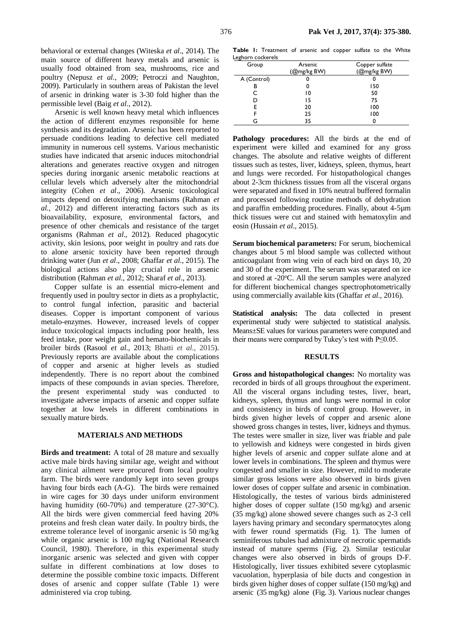behavioral or external changes (Witeska *et al*., 2014). The main source of different heavy metals and arsenic is usually food obtained from sea, mushrooms, rice and poultry (Nepusz *et al*., 2009; Petroczi and Naughton, 2009). Particularly in southern areas of Pakistan the level of arsenic in drinking water is 3-30 fold higher than the permissible level (Baig *et al*., 2012).

Arsenic is well known heavy metal which influences the action of different enzymes responsible for heme synthesis and its degradation. Arsenic has been reported to persuade conditions leading to defective cell mediated immunity in numerous cell systems. Various mechanistic studies have indicated that arsenic induces mitochondrial alterations and generates reactive oxygen and nitrogen species during inorganic arsenic metabolic reactions at cellular levels which adversely alter the mitochondrial integrity (Cohen *et al*., 2006). Arsenic toxicological impacts depend on detoxifying mechanisms (Rahman *et al.,* 2012) and different interacting factors such as its bioavailability, exposure, environmental factors, and presence of other chemicals and resistance of the target organisms (Rahman *et al*., 2012). Reduced phagocytic activity, skin lesions, poor weight in poultry and rats due to alone arsenic toxicity have been reported through drinking water (Jun *et al*., 2008; Ghaffar *et al*., 2015). The biological actions also play crucial role in arsenic distribution (Rahman *et al.,* 2012; Sharaf *et al*., 2013).

Copper sulfate is an essential micro-element and frequently used in poultry sector in diets as a prophylactic, to control fungal infection, parasitic and bacterial diseases. Copper is important component of various metalo-enzymes. However, increased levels of copper induce toxicological impacts including poor health, less feed intake, poor weight gain and hemato-biochemicals in broiler birds (Rasool *et al*., 2013; Bhatti *et al*., 2015). Previously reports are available about the complications of copper and arsenic at higher levels as studied independently. There is no report about the combined impacts of these compounds in avian species. Therefore, the present experimental study was conducted to investigate adverse impacts of arsenic and copper sulfate together at low levels in different combinations in sexually mature birds.

## **MATERIALS AND METHODS**

**Birds and treatment:** A total of 28 mature and sexually active male birds having similar age, weight and without any clinical ailment were procured from local poultry farm. The birds were randomly kept into seven groups having four birds each (A-G). The birds were remained in wire cages for 30 days under uniform environment having humidity (60-70%) and temperature (27-30°C). All the birds were given commercial feed having 20% proteins and fresh clean water daily. In poultry birds, the extreme tolerance level of inorganic arsenic is 50 mg/kg while organic arsenic is 100 mg/kg (National Research Council, 1980). Therefore, in this experimental study inorganic arsenic was selected and given with copper sulfate in different combinations at low doses to determine the possible combine toxic impacts. Different doses of arsenic and copper sulfate (Table 1) were administered via crop tubing.

**Table 1:** Treatment of arsenic and copper sulfate to the White Leghorn cockerels

| Group       | Arsenic     | Copper sulfate |  |  |
|-------------|-------------|----------------|--|--|
|             | (@mg/kg BW) | (@mg/kg BW)    |  |  |
| A (Control) |             |                |  |  |
| в           |             | 150            |  |  |
|             | ۱0          | 50             |  |  |
|             | 15          | 75             |  |  |
|             | 20          | 100            |  |  |
|             | 25          | 100            |  |  |
|             | 35          |                |  |  |

Pathology procedures: All the birds at the end of experiment were killed and examined for any gross changes. The absolute and relative weights of different tissues such as testes, liver, kidneys, spleen, thymus, heart and lungs were recorded. For histopathological changes about 2-3cm thickness tissues from all the visceral organs were separated and fixed in 10% neutral buffered formalin and processed following routine methods of dehydration and paraffin embedding procedures. Finally, about 4-5µm thick tissues were cut and stained with hematoxylin and eosin (Hussain *et al*., 2015).

**Serum biochemical parameters:** For serum, biochemical changes about 5 ml blood sample was collected without anticoagulant from wing vein of each bird on days 10, 20 and 30 of the experiment. The serum was separated on ice and stored at -20°C. All the serum samples were analyzed for different biochemical changes spectrophotometrically using commercially available kits (Ghaffar *et al.,* 2016).

**Statistical analysis:** The data collected in present experimental study were subjected to statistical analysis. Means±SE values for various parameters were computed and their means were compared by Tukey's test with P≤0.05.

### **RESULTS**

**Gross and histopathological changes:** No mortality was recorded in birds of all groups throughout the experiment. All the visceral organs including testes, liver, heart, kidneys, spleen, thymus and lungs were normal in color and consistency in birds of control group. However, in birds given higher levels of copper and arsenic alone showed gross changes in testes, liver, kidneys and thymus. The testes were smaller in size, liver was friable and pale to yellowish and kidneys were congested in birds given higher levels of arsenic and copper sulfate alone and at lower levels in combinations. The spleen and thymus were congested and smaller in size. However, mild to moderate similar gross lesions were also observed in birds given lower doses of copper sulfate and arsenic in combination. Histologically, the testes of various birds administered higher doses of copper sulfate (150 mg/kg) and arsenic (35 mg/kg) alone showed severe changes such as 2-3 cell layers having primary and secondary spermatocytes along with fewer round spermatids (Fig. 1). The lumen of seminiferous tubules had admixture of necrotic spermatids instead of mature sperms (Fig. 2). Similar testicular changes were also observed in birds of groups D-F. Histologically, liver tissues exhibited severe cytoplasmic vacuolation, hyperplasia of bile ducts and congestion in birds given higher doses of copper sulfate (150 mg/kg) and arsenic (35 mg/kg) alone (Fig. 3). Various nuclear changes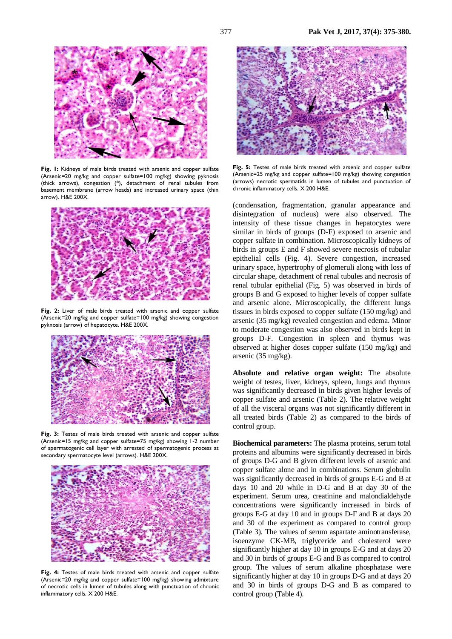

**Fig. 1:** Kidneys of male birds treated with arsenic and copper sulfate (Arsenic=20 mg/kg and copper sulfate=100 mg/kg) showing pyknosis (thick arrows), congestion (\*), detachment of renal tubules from basement membrane (arrow heads) and increased urinary space (thin arrow). H&E 200X.



Fig. 2: Liver of male birds treated with arsenic and copper sulfate (Arsenic=20 mg/kg and copper sulfate=100 mg/kg) showing congestion pyknosis (arrow) of hepatocyte. H&E 200X.



Fig. 3: Testes of male birds treated with arsenic and copper sulfate (Arsenic=15 mg/kg and copper sulfate=75 mg/kg) showing 1-2 number of spermatogenic cell layer with arrested of spermatogenic process at secondary spermatocyte level (arrows). H&E 200X.



**Fig. 4:** Testes of male birds treated with arsenic and copper sulfate (Arsenic=20 mg/kg and copper sulfate=100 mg/kg) showing admixture of necrotic cells in lumen of tubules along with punctuation of chronic inflammatory cells. X 200 H&E.



**Fig. 5:** Testes of male birds treated with arsenic and copper sulfate (Arsenic=25 mg/kg and copper sulfate=100 mg/kg) showing congestion (arrows) necrotic spermatids in lumen of tubules and punctuation of chronic inflammatory cells. X 200 H&E.

(condensation, fragmentation, granular appearance and disintegration of nucleus) were also observed. The intensity of these tissue changes in hepatocytes were similar in birds of groups (D-F) exposed to arsenic and copper sulfate in combination. Microscopically kidneys of birds in groups E and F showed severe necrosis of tubular epithelial cells (Fig. 4). Severe congestion, increased urinary space, hypertrophy of glomeruli along with loss of circular shape, detachment of renal tubules and necrosis of renal tubular epithelial (Fig. 5) was observed in birds of groups B and G exposed to higher levels of copper sulfate and arsenic alone. Microscopically, the different lungs tissues in birds exposed to copper sulfate (150 mg/kg) and arsenic (35 mg/kg) revealed congestion and edema. Minor to moderate congestion was also observed in birds kept in groups D-F. Congestion in spleen and thymus was observed at higher doses copper sulfate (150 mg/kg) and arsenic (35 mg/kg).

**Absolute and relative organ weight:** The absolute weight of testes, liver, kidneys, spleen, lungs and thymus was significantly decreased in birds given higher levels of copper sulfate and arsenic (Table 2). The relative weight of all the visceral organs was not significantly different in all treated birds (Table 2) as compared to the birds of control group.

**Biochemical parameters:** The plasma proteins, serum total proteins and albumins were significantly decreased in birds of groups D-G and B given different levels of arsenic and copper sulfate alone and in combinations. Serum globulin was significantly decreased in birds of groups E-G and B at days 10 and 20 while in D-G and B at day 30 of the experiment. Serum urea, creatinine and malondialdehyde concentrations were significantly increased in birds of groups E-G at day 10 and in groups D-F and B at days 20 and 30 of the experiment as compared to control group (Table 3). The values of serum aspartate aminotransferase, isoenzyme CK-MB, triglyceride and cholesterol were significantly higher at day 10 in groups E-G and at days 20 and 30 in birds of groups E-G and B as compared to control group. The values of serum alkaline phosphatase were significantly higher at day 10 in groups D-G and at days 20 and 30 in birds of groups D-G and B as compared to control group (Table 4).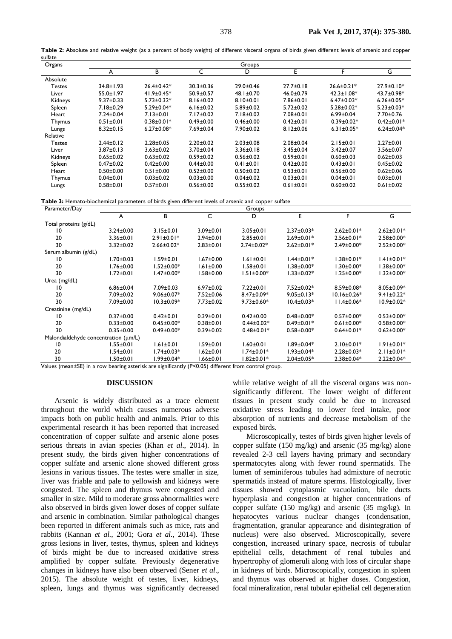| Organs   |                 |                  |                 | Groups          |                 |                  |                  |
|----------|-----------------|------------------|-----------------|-----------------|-----------------|------------------|------------------|
|          | A               | в                | C               | D               | Е               | F                | G                |
| Absolute |                 |                  |                 |                 |                 |                  |                  |
| Testes   | $34.8 \pm 1.93$ | $26.4 \pm 0.42*$ | $30.3 \pm 0.36$ | $29.0 \pm 0.46$ | $27.7 \pm 0.18$ | $26.6 \pm 0.21*$ | $27.9 \pm 0.10*$ |
| Liver    | $55.0 \pm 1.97$ | $41.9 \pm 0.45*$ | $50.9 \pm 0.57$ | $48.1 \pm 0.70$ | $46.0 \pm 0.79$ | $42.3 \pm 1.08*$ | 43.7±0.98*       |
| Kidneys  | $9.37 \pm 0.33$ | $5.73 \pm 0.32*$ | $8.16 \pm 0.02$ | $8.10 \pm 0.01$ | $7.86 \pm 0.01$ | $6.47 \pm 0.03*$ | $6.26 \pm 0.05*$ |
| Spleen   | $7.18 \pm 0.29$ | $5.29 \pm 0.04*$ | $6.16 \pm 0.02$ | $5.89 \pm 0.02$ | $5.72 \pm 0.02$ | $5.28 \pm 0.02*$ | $5.23 \pm 0.03*$ |
| Heart    | $7.24 \pm 0.04$ | $7.13 \pm 0.01$  | $7.17 \pm 0.02$ | $7.18 \pm 0.02$ | $7.08 \pm 0.01$ | $6.99 \pm 0.04$  | $7.70 \pm 0.76$  |
| Thymus   | $0.51 \pm 0.01$ | $0.38 \pm 0.01*$ | $0.49 \pm 0.00$ | $0.46 \pm 0.00$ | $0.42 \pm 0.01$ | $0.39 \pm 0.02*$ | $0.42 \pm 0.01*$ |
| Lungs    | $8.32 \pm 0.15$ | $6.27 \pm 0.08*$ | $7.69 \pm 0.04$ | $7.90 \pm 0.02$ | $8.12 \pm 0.06$ | $6.31 \pm 0.05*$ | $6.24 \pm 0.04*$ |
| Relative |                 |                  |                 |                 |                 |                  |                  |
| Testes   | $2.44 \pm 0.12$ | $2.28 \pm 0.05$  | $2.20 \pm 0.02$ | $2.03 \pm 0.08$ | $2.08 + 0.04$   | $2.15 \pm 0.01$  | $2.27 \pm 0.01$  |
| Liver    | $3.87 \pm 0.13$ | $3.63 \pm 0.02$  | $3.70 \pm 0.04$ | $3.36 \pm 0.18$ | $3.45 \pm 0.04$ | $3.42 \pm 0.07$  | $3.56 \pm 0.07$  |
| Kidneys  | $0.65 \pm 0.02$ | $0.63 \pm 0.02$  | $0.59 \pm 0.02$ | $0.56 \pm 0.02$ | $0.59 \pm 0.01$ | $0.60 + 0.03$    | $0.62 \pm 0.03$  |
| Spleen   | $0.47 \pm 0.02$ | $0.42 \pm 0.00$  | $0.44 \pm 0.00$ | $0.41 \pm 0.01$ | $0.42 \pm 0.00$ | $0.43 \pm 0.01$  | $0.45 \pm 0.02$  |
| Heart    | $0.50 \pm 0.00$ | $0.51 \pm 0.00$  | $0.52 \pm 0.00$ | $0.50 + 0.02$   | $0.53 \pm 0.01$ | $0.56 \pm 0.00$  | $0.62 \pm 0.06$  |
| Thymus   | $0.04 \pm 0.01$ | $0.03 \pm 0.02$  | $0.03 \pm 0.00$ | $0.04 \pm 0.02$ | $0.03 \pm 0.01$ | $0.04 \pm 0.01$  | $0.03 + 0.01$    |
| Lungs    | $0.58 + 0.01$   | $0.57 \pm 0.01$  | $0.56 \pm 0.00$ | $0.55 \pm 0.02$ | $0.61 \pm 0.01$ | $0.60 \pm 0.02$  | $0.61 \pm 0.02$  |

**Table 2:** Absolute and relative weight (as a percent of body weight) of different visceral organs of birds given different levels of arsenic and copper sulfate

**Table 3:** Hemato-biochemical parameters of birds given different levels of arsenic and copper sulfate

| Parameter/Day                        | Groups                                          |                  |                                                                              |                  |                     |                   |                   |
|--------------------------------------|-------------------------------------------------|------------------|------------------------------------------------------------------------------|------------------|---------------------|-------------------|-------------------|
|                                      | A                                               | В                | С                                                                            | D                | E                   | F                 | G                 |
| Total proteins (g/dL)                |                                                 |                  |                                                                              |                  |                     |                   |                   |
| 10                                   | $3.24 \pm 0.00$                                 | $3.15 \pm 0.01$  | $3.09 \pm 0.01$                                                              | $3.05 \pm 0.01$  | $2.37 \pm 0.03*$    | $2.62 \pm 0.01*$  | $2.62 \pm 0.01*$  |
| 20                                   | $3.36 \pm 0.01$                                 | $2.91 \pm 0.01*$ | $2.94 \pm 0.01$                                                              | $2.85 \pm 0.01$  | $2.69 \pm 0.01*$    | $2.56 \pm 0.01*$  | $2.58 \pm 0.00*$  |
| 30                                   | $3.32 \pm 0.02$                                 | $2.66 \pm 0.02*$ | $2.83 \pm 0.01$                                                              | $2.74 \pm 0.02*$ | $2.62 \pm 0.01*$    | $2.49 \pm 0.00*$  | $2.52 \pm 0.00*$  |
| Serum albumin (g/dL)                 |                                                 |                  |                                                                              |                  |                     |                   |                   |
| 10                                   | $1.70 \pm 0.03$                                 | $1.59 \pm 0.01$  | $1.67 \pm 0.00$                                                              | $1.61 \pm 0.01$  | $1.44 \pm 0.01*$    | $1.38 \pm 0.01*$  | $1.41 \pm 0.01*$  |
| 20                                   | $1.76 \pm 0.00$                                 | l.52±0.00*       | 1.61±0.00                                                                    | $1.58 \pm 0.01$  | $1.38{\pm}0.00^{*}$ | 1.30±0.00*        | 1.38±0.00*        |
| 30                                   | $1.72 \pm 0.01$                                 | 1.47±0.00*       | l.58±0.00                                                                    | $1.51 \pm 0.00*$ | $1.33 \pm 0.02*$    | $1.25 \pm 0.00*$  | l.32±0.00*        |
| Urea (mg/dL)                         |                                                 |                  |                                                                              |                  |                     |                   |                   |
| 10                                   | $6.86 \pm 0.04$                                 | $7.09 \pm 0.03$  | $6.97 \pm 0.02$                                                              | $7.22 \pm 0.01$  | 7.52±0.02*          | $8.59 \pm 0.08*$  | $8.05 \pm 0.09*$  |
| 20                                   | $7.09 \pm 0.02$                                 | $9.06 \pm 0.07*$ | $7.52 \pm 0.06$                                                              | $8.47 \pm 0.09*$ | $9.05 \pm 0.13*$    | $10.16 \pm 0.26*$ | $9.41 \pm 0.22$ * |
| 30                                   | 7.09±0.00                                       | $10.3 \pm 0.09*$ | $7.73 \pm 0.02$                                                              | $9.73 \pm 0.60*$ | $10.4 \pm 0.03*$    | $11.4 \pm 0.06*$  | $10.9 \pm 0.02*$  |
| Creatinine (mg/dL)                   |                                                 |                  |                                                                              |                  |                     |                   |                   |
| 10                                   | $0.37 \pm 0.00$                                 | $0.42 \pm 0.01$  | $0.39 \pm 0.01$                                                              | $0.42 \pm 0.00$  | $0.48 \pm 0.00*$    | $0.57 \pm 0.00*$  | $0.53 \pm 0.00*$  |
| 20                                   | $0.33 \pm 0.00$                                 | $0.45 \pm 0.00*$ | $0.38 + 0.01$                                                                | $0.44 \pm 0.02*$ | $0.49 \pm 0.01*$    | $0.61 \pm 0.00*$  | $0.58 \pm 0.00*$  |
| 30                                   | $0.35 \pm 0.00$                                 | $0.49 \pm 0.00*$ | $0.39 \pm 0.02$                                                              | $0.48 \pm 0.01*$ | $0.58 \pm 0.00*$    | $0.64 \pm 0.01*$  | $0.62 \pm 0.00*$  |
| Malondialdehyde concentration (um/L) |                                                 |                  |                                                                              |                  |                     |                   |                   |
| 10                                   | $1.55 \pm 0.01$                                 | $1.61 \pm 0.01$  | $1.59 \pm 0.01$                                                              | $1.60 \pm 0.01$  | $1.89 \pm 0.04*$    | $2.10 \pm 0.01*$  | $1.91 \pm 0.01*$  |
| 20                                   | 1.54±0.01                                       | l.74±0.03*       | $1.62 \pm 0.01$                                                              | l.74±0.01*       | $1.93 \pm 0.04*$    | $2.28 \pm 0.03*$  | $2.11 \pm 0.01*$  |
| 30<br>10T11.1                        | 1.50±0.01<br>المحامل والمقصوصة مستحدث والمستحدث | l.99±0.04*       | 1.66±0.01<br>$\mathcal{L}$ . The contract of $\mathcal{L}$ and $\mathcal{L}$ | $1.82 \pm 0.01*$ | $2.04 \pm 0.05*$    | $2.38 \pm 0.04*$  | $2.22 \pm 0.04*$  |

Values (mean±SE) in a row bearing asterisk are significantly (P<0.05) different from control group.

#### **DISCUSSION**

Arsenic is widely distributed as a trace element throughout the world which causes numerous adverse impacts both on public health and animals. Prior to this experimental research it has been reported that increased concentration of copper sulfate and arsenic alone poses serious threats in avian species (Khan *et al*., 2014). In present study, the birds given higher concentrations of copper sulfate and arsenic alone showed different gross lesions in various tissues. The testes were smaller in size, liver was friable and pale to yellowish and kidneys were congested. The spleen and thymus were congested and smaller in size. Mild to moderate gross abnormalities were also observed in birds given lower doses of copper sulfate and arsenic in combination. Similar pathological changes been reported in different animals such as mice, rats and rabbits (Kannan *et al.*, 2001; Gora *et al.,* 2014). These gross lesions in liver, testes, thymus, spleen and kidneys of birds might be due to increased oxidative stress amplified by copper sulfate. Previously degenerative changes in kidneys have also been observed (Sener *et al*., 2015). The absolute weight of testes, liver, kidneys, spleen, lungs and thymus was significantly decreased

while relative weight of all the visceral organs was nonsignificantly different. The lower weight of different tissues in present study could be due to increased oxidative stress leading to lower feed intake, poor absorption of nutrients and decrease metabolism of the exposed birds.

Microscopically, testes of birds given higher levels of copper sulfate (150 mg/kg) and arsenic (35 mg/kg) alone revealed 2-3 cell layers having primary and secondary spermatocytes along with fewer round spermatids. The lumen of seminiferous tubules had admixture of necrotic spermatids instead of mature sperms. Histologically, liver tissues showed cytoplasmic vacuolation, bile ducts hyperplasia and congestion at higher concentrations of copper sulfate (150 mg/kg) and arsenic (35 mg/kg). In hepatocytes various nuclear changes (condensation, fragmentation, granular appearance and disintegration of nucleus) were also observed. Microscopically, severe congestion, increased urinary space, necrosis of tubular epithelial cells, detachment of renal tubules and hypertrophy of glomeruli along with loss of circular shape in kidneys of birds. Microscopically, congestion in spleen and thymus was observed at higher doses. Congestion, focal mineralization, renal tubular epithelial cell degeneration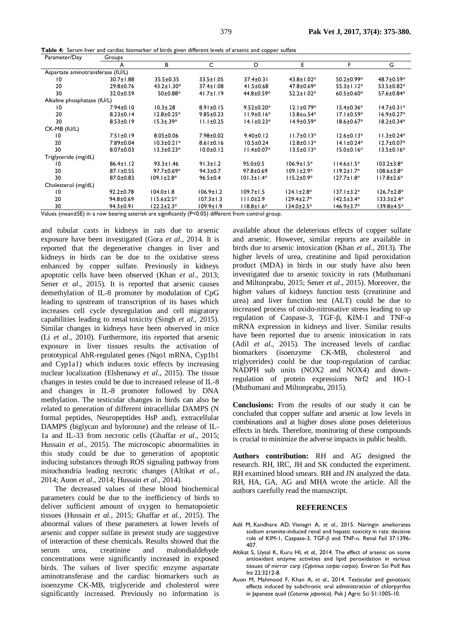**Table 4:** Serum liver and cardiac biomarker of birds given different levels of arsenic and copper sulfate

| Parameter/Day                     | Groups          |                   |                 |                  |                   |                   |                   |
|-----------------------------------|-----------------|-------------------|-----------------|------------------|-------------------|-------------------|-------------------|
|                                   | A               | В                 | C               | D                | E.                | F                 | G                 |
| Aspartate aminotransferase (IU/L) |                 |                   |                 |                  |                   |                   |                   |
| 10                                | $30.7 \pm 1.88$ | $35.5 \pm 0.35$   | $33.5 \pm 1.05$ | $37.4 \pm 0.31$  | $43.8 \pm 1.02*$  | $50.2 \pm 0.99*$  | 48.7±0.59*        |
| 20                                | $29.8 \pm 0.76$ | $43.2 \pm 1.30*$  | $37.4 \pm 1.08$ | $41.5 \pm 0.68$  | 47.8±0.69*        | $55.3 \pm 1.12^*$ | $53.5 \pm 0.82*$  |
| 30                                | 32.0±0.59       | 50±0.88*          | $41.7 \pm 1.19$ | 44.8±0.59*       | $52.2 \pm 1.02*$  | $60.5 \pm 0.60*$  | 57.6±0.84*        |
| Alkaline phosphatase (IU/L)       |                 |                   |                 |                  |                   |                   |                   |
| $\overline{0}$                    | $7.94 \pm 0.10$ | $10.3 \pm .28$    | $8.91 \pm 0.15$ | $9.52 \pm 0.20*$ | $12.1 \pm 0.79*$  | $15.4 \pm 0.36*$  | $14.7 \pm 0.31*$  |
| 20                                | $8.23 \pm 0.14$ | $12.8 \pm 0.25*$  | $9.85 \pm 0.23$ | $11.9 \pm 0.16*$ | $13.8 \pm 0.54*$  | $17.1 \pm 0.59*$  | $16.9 \pm 0.27*$  |
| 30                                | $8.53 \pm 0.19$ | $15.3 \pm .39*$   | $11.1 \pm 0.25$ | $14.1 \pm 0.23*$ | $14.9 \pm 0.59*$  | $18.6 \pm 0.67*$  | $18.2 \pm 0.34*$  |
| CK-MB (IU/L)                      |                 |                   |                 |                  |                   |                   |                   |
| 10                                | $7.51 \pm 0.19$ | $8.05 \pm 0.06$   | $7.98 \pm 0.02$ | $9.40 \pm 0.12$  | $11.7 \pm 0.13*$  | $12.6 \pm 0.13*$  | $11.3 \pm 0.24*$  |
| 20                                | 7.89±0.04       | $10.3 \pm 0.21*$  | $8.61 \pm 0.16$ | $10.5 \pm 0.24$  | $12.8 \pm 0.13*$  | $14.1 \pm 0.24*$  | $12.7 \pm 0.07*$  |
| 30                                | $8.07 \pm 0.03$ | $13.3 \pm 0.23*$  | $10.0 \pm 0.12$ | $11.4 \pm 0.07*$ | $13.5 \pm 0.13*$  | $15.0 \pm 0.16*$  | $13.5 \pm 0.16*$  |
| Triglyceride (mg/dL)              |                 |                   |                 |                  |                   |                   |                   |
| 10                                | $86.4 \pm 1.12$ | $93.3 \pm 1.46$   | $91.3 \pm 1.2$  | $95.0 \pm 0.5$   | $106.9 \pm 1.5*$  | $114.6 \pm 1.5^*$ | $103.2 \pm 3.8^*$ |
| 20                                | 87.1±0.55       | 97.7±0.69*        | $94.3 \pm 0.7$  | $97.8 \pm 0.69$  | $109.1 \pm 2.9*$  | $119.2 \pm 1.7^*$ | $108.6 \pm 3.8*$  |
| 30                                | $87.0 \pm 0.83$ | $109.1 \pm 2.8^*$ | $96.5 \pm 0.4$  | $101.3 \pm 1.4*$ | $115.2 \pm 0.9*$  | $127.7 \pm 1.8^*$ | $117.8 \pm 2.6^*$ |
| Cholesterol (mg/dL)               |                 |                   |                 |                  |                   |                   |                   |
| 10                                | $92.2 \pm 0.78$ | $104.0 \pm 1.8$   | $106.9 \pm 1.2$ | $109.7 \pm 1.5$  | $124.1 \pm 2.8^*$ | $137.1 \pm 3.2*$  | $126.7 \pm 2.8^*$ |
| 20                                | $94.8 \pm 0.69$ | $115.6 \pm 2.5^*$ | $107.3 \pm 1.3$ | $111.0 \pm 2.9$  | $129.4 \pm 2.7*$  | $142.5 \pm 3.4*$  | $133.3 \pm 2.4*$  |
| 30                                | $94.3 \pm 0.91$ | $122.2 \pm 2.3*$  | $109.9 \pm 1.9$ | $118.8 \pm 1.6*$ | $134.0 \pm 2.5^*$ | $146.9 \pm 3.7*$  | 139.8±4.5*        |

Values (mean±SE) in a row bearing asterisk are significantly (P<0.05) different from control group.

and tubular casts in kidneys in rats due to arsenic exposure have been investigated (Gora *et al*., 2014. It is reported that the degenerative changes in liver and kidneys in birds can be due to the oxidative stress enhanced by copper sulfate. Previously in kidneys apoptotic cells have been observed (Khan *et al*., 2013; Sener *et al.*, 2015). It is reported that arsenic causes demethylation of IL-8 promoter by modulation of CpG leading to upstream of transcription of its bases which increases cell cycle dysregulation and cell migratory capabilities leading to renal toxicity (Singh *et al*., 2015). Similar changes in kidneys have been observed in mice (Li *et al*., 2010). Furthermore, itis reported that arsenic exposure in liver tissues results the activation of prototypical AhR-regulated genes (Nqo1 mRNA, Cyp1b1 and Cyp1a1) which induces toxic effects by increasing nuclear localization (Elshenawy *et al*., 2015). The tissue changes in testes could be due to increased release of IL-8 and changes in IL-8 promoter followed by DNA methylation. The testicular changes in birds can also be related to generation of different intracellular DAMPS (N formal peptides, Neuropeptides HsP and), extracellular DAMPS (biglycan and hyloroune) and the release of IL-1a and IL-33 from necrotic cells (Ghaffar *et al*., 2015; Hussain *et al*., 2015). The microscopic abnormalities in this study could be due to generation of apoptotic inducing substances through ROS signaling pathway from mitochondria leading necrotic changes (Altikat *et al.*, 2014; Auon *et al.,* 2014; Hussain *et al*., 2014).

The decreased values of these blood biochemical parameters could be due to the inefficiency of birds to deliver sufficient amount of oxygen to hematopoietic tissues (Hussain *et al.*, 2015; Ghaffar *et al.*, 2015). The abnormal values of these parameters at lower levels of arsenic and copper sulfate in present study are suggestive of interaction of these chemicals. Results showed that the serum urea, creatinine and malondialdehyde concentrations were significantly increased in exposed birds. The values of liver specific enzyme aspartate aminotransferase and the cardiac biomarkers such as isoenzyme CK-MB, triglyceride and cholesterol were significantly increased. Previously no information is

available about the deleterious effects of copper sulfate and arsenic. However, similar reports are available in birds due to arsenic intoxication (Khan *et al*., 2013). The higher levels of urea, creatinine and lipid peroxidation product (MDA) in birds in our study have also been investigated due to arsenic toxicity in rats [\(Muthumani](http://www.ncbi.nlm.nih.gov/pubmed/?term=Muthumani%20M%5BAuthor%5D&cauthor=true&cauthor_uid=24062023)  [and](http://www.ncbi.nlm.nih.gov/pubmed/?term=Muthumani%20M%5BAuthor%5D&cauthor=true&cauthor_uid=24062023) Miltonprabu, 2015; Sener *et al*., 2015). Moreover, the higher values of kidneys function tests (creatinine and urea) and liver function test (ALT) could be due to increased process of oxido-nitrosative stress leading to up regulation of Caspase-3, TGF-β, KIM-1 and TNF-α mRNA expression in kidneys and liver. Similar results have been reported due to arsenic intoxication in rats (Adil *et al*., 2015). The increased levels of cardiac biomarkers (isoenzyme CK-MB, cholesterol and triglycerides) could be due toup-regulation of cardiac NADPH sub units (NOX2 and NOX4) and downregulation of protein expressions Nrf2 and HO-1 [\(Muthumani and](http://www.ncbi.nlm.nih.gov/pubmed/?term=Muthumani%20M%5BAuthor%5D&cauthor=true&cauthor_uid=24062023) Miltonprabu, 2015).

**Conclusions:** From the results of our study it can be concluded that copper sulfate and arsenic at low levels in combinations and at higher doses alone poses deleterious effects in birds. Therefore, monitoring of these compounds is crucial to minimize the adverse impacts in public health.

**Authors contribution:** RH and AG designed the research. RH, IRC, JH and SK conducted the experiment. RH examined blood smears. RH and JN analyzed the data. RH, HA, GA, AG and MHA wrote the article. All the authors carefully read the manuscript.

#### **REFERENCES**

- [Adil M,](http://www.ncbi.nlm.nih.gov/pubmed/?term=Adil%20M%5BAuthor%5D&cauthor=true&cauthor_uid=26337322) [Kandhare](http://www.ncbi.nlm.nih.gov/pubmed/?term=Kandhare%20AD%5BAuthor%5D&cauthor=true&cauthor_uid=26337322) AD, [Visnagri](http://www.ncbi.nlm.nih.gov/pubmed/?term=Visnagri%20A%5BAuthor%5D&cauthor=true&cauthor_uid=26337322) A, *et al*., 2015. Naringin ameliorates sodium arsenite-induced renal and hepatic toxicity in rats: decisive role of KIM-1, Caspase-3, TGF-β and TNF-α. [Renal Fail](http://www.ncbi.nlm.nih.gov/pubmed/26337322) 37:1396- 407.
- [Altikat S,](http://www.ncbi.nlm.nih.gov/pubmed?term=Altikat%20S%5BAuthor%5D&cauthor=true&cauthor_uid=24770925) [Uysal](http://www.ncbi.nlm.nih.gov/pubmed?term=Uysal%20K%5BAuthor%5D&cauthor=true&cauthor_uid=24770925) K, [Kuru](http://www.ncbi.nlm.nih.gov/pubmed?term=Kuru%20HI%5BAuthor%5D&cauthor=true&cauthor_uid=24770925) HI, *et al.,* [2014.](http://www.ncbi.nlm.nih.gov/pubmed?term=Kucuk%20A%5BAuthor%5D&cauthor=true&cauthor_uid=24770925) The effect of arsenic on some antioxidant enzyme activities and lipid peroxidation in various tissues of mirror carp (*Cyprinus carpio carpio*). [Environ Sci Poll Res](http://www.ncbi.nlm.nih.gov/pubmed/24770925)  [Int](http://www.ncbi.nlm.nih.gov/pubmed/24770925) 22:3212-8.
- Auon M, Mahmood F, Khan A, *et al*., 2014. Testicular and genotoxic effects induced by subchronic oral administration of chlorpyrifos in Japanese quail (*Coturnix japonica*). Pak J Agric Sci 51:1005-10.